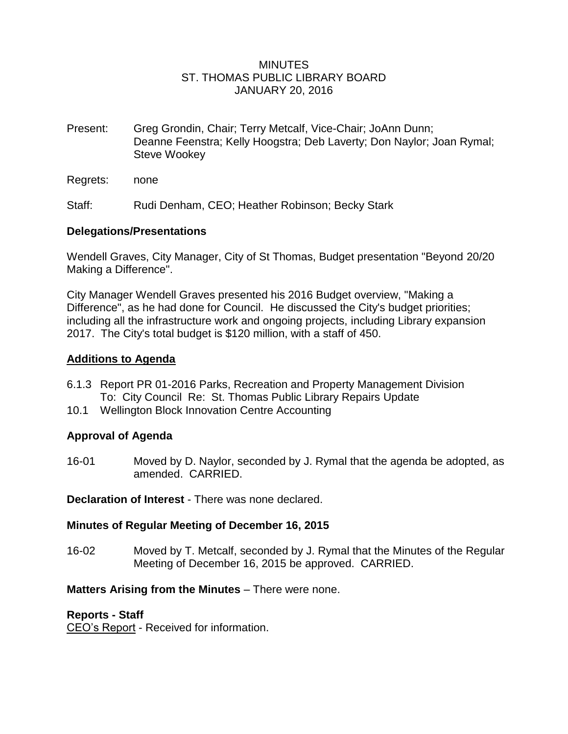## MINUTES ST. THOMAS PUBLIC LIBRARY BOARD JANUARY 20, 2016

- Present: Greg Grondin, Chair; Terry Metcalf, Vice-Chair; JoAnn Dunn; Deanne Feenstra; Kelly Hoogstra; Deb Laverty; Don Naylor; Joan Rymal; Steve Wookey
- Regrets: none

Staff: Rudi Denham, CEO; Heather Robinson; Becky Stark

## **Delegations/Presentations**

Wendell Graves, City Manager, City of St Thomas, Budget presentation "Beyond 20/20 Making a Difference".

City Manager Wendell Graves presented his 2016 Budget overview, "Making a Difference", as he had done for Council. He discussed the City's budget priorities; including all the infrastructure work and ongoing projects, including Library expansion 2017. The City's total budget is \$120 million, with a staff of 450.

## **Additions to Agenda**

- 6.1.3 Report PR 01-2016 Parks, Recreation and Property Management Division To: City Council Re: St. Thomas Public Library Repairs Update
- 10.1 Wellington Block Innovation Centre Accounting

# **Approval of Agenda**

16-01 Moved by D. Naylor, seconded by J. Rymal that the agenda be adopted, as amended. CARRIED.

**Declaration of Interest** - There was none declared.

# **Minutes of Regular Meeting of December 16, 2015**

16-02 Moved by T. Metcalf, seconded by J. Rymal that the Minutes of the Regular Meeting of December 16, 2015 be approved. CARRIED.

# **Matters Arising from the Minutes** – There were none.

#### **Reports - Staff**

CEO's Report - Received for information.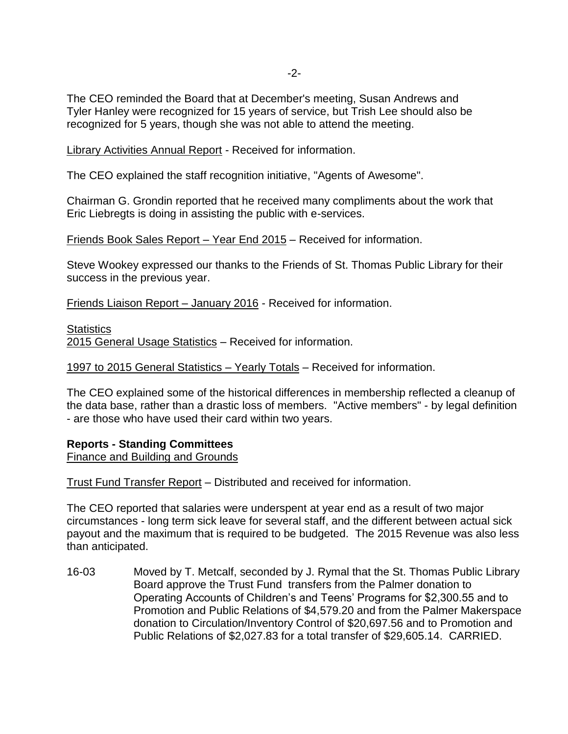The CEO reminded the Board that at December's meeting, Susan Andrews and Tyler Hanley were recognized for 15 years of service, but Trish Lee should also be recognized for 5 years, though she was not able to attend the meeting.

Library Activities Annual Report - Received for information.

The CEO explained the staff recognition initiative, "Agents of Awesome".

Chairman G. Grondin reported that he received many compliments about the work that Eric Liebregts is doing in assisting the public with e-services.

Friends Book Sales Report – Year End 2015 – Received for information.

Steve Wookey expressed our thanks to the Friends of St. Thomas Public Library for their success in the previous year.

Friends Liaison Report – January 2016 - Received for information.

**Statistics** 

2015 General Usage Statistics – Received for information.

1997 to 2015 General Statistics – Yearly Totals – Received for information.

The CEO explained some of the historical differences in membership reflected a cleanup of the data base, rather than a drastic loss of members. "Active members" - by legal definition - are those who have used their card within two years.

#### **Reports - Standing Committees**

Finance and Building and Grounds

Trust Fund Transfer Report – Distributed and received for information.

The CEO reported that salaries were underspent at year end as a result of two major circumstances - long term sick leave for several staff, and the different between actual sick payout and the maximum that is required to be budgeted. The 2015 Revenue was also less than anticipated.

16-03 Moved by T. Metcalf, seconded by J. Rymal that the St. Thomas Public Library Board approve the Trust Fund transfers from the Palmer donation to Operating Accounts of Children's and Teens' Programs for \$2,300.55 and to Promotion and Public Relations of \$4,579.20 and from the Palmer Makerspace donation to Circulation/Inventory Control of \$20,697.56 and to Promotion and Public Relations of \$2,027.83 for a total transfer of \$29,605.14. CARRIED.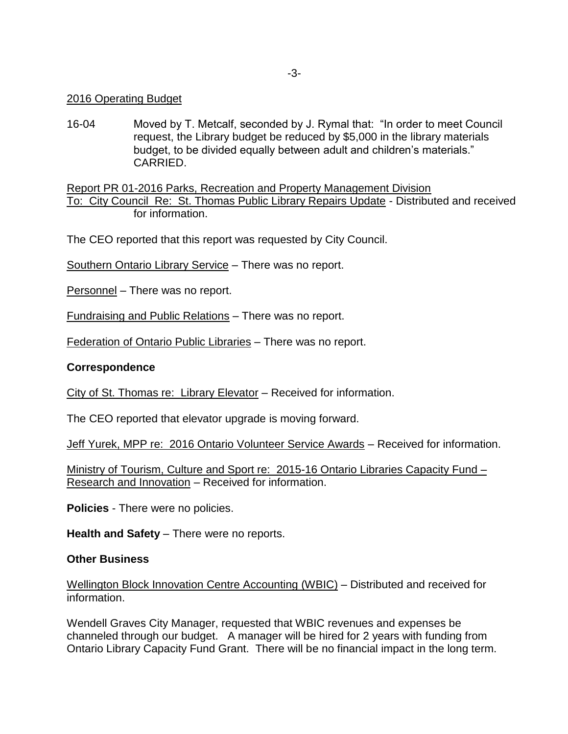### 2016 Operating Budget

16-04 Moved by T. Metcalf, seconded by J. Rymal that: "In order to meet Council request, the Library budget be reduced by \$5,000 in the library materials budget, to be divided equally between adult and children's materials." CARRIED.

Report PR 01-2016 Parks, Recreation and Property Management Division To: City Council Re: St. Thomas Public Library Repairs Update - Distributed and received for information.

The CEO reported that this report was requested by City Council.

Southern Ontario Library Service – There was no report.

Personnel – There was no report.

Fundraising and Public Relations – There was no report.

Federation of Ontario Public Libraries – There was no report.

## **Correspondence**

City of St. Thomas re: Library Elevator – Received for information.

The CEO reported that elevator upgrade is moving forward.

Jeff Yurek, MPP re: 2016 Ontario Volunteer Service Awards – Received for information.

Ministry of Tourism, Culture and Sport re: 2015-16 Ontario Libraries Capacity Fund – Research and Innovation – Received for information.

**Policies** - There were no policies.

**Health and Safety** – There were no reports.

#### **Other Business**

Wellington Block Innovation Centre Accounting (WBIC) – Distributed and received for information.

Wendell Graves City Manager, requested that WBIC revenues and expenses be channeled through our budget. A manager will be hired for 2 years with funding from Ontario Library Capacity Fund Grant. There will be no financial impact in the long term.